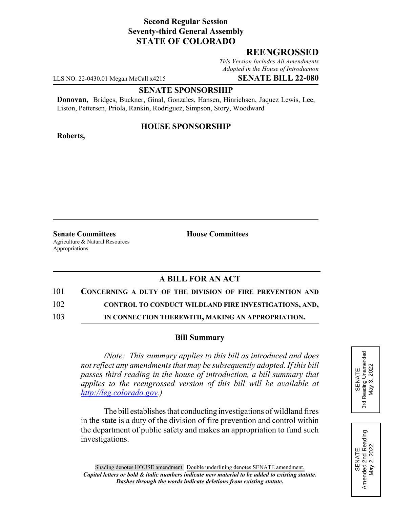# **Second Regular Session Seventy-third General Assembly STATE OF COLORADO**

# **REENGROSSED**

*This Version Includes All Amendments Adopted in the House of Introduction*

LLS NO. 22-0430.01 Megan McCall x4215 **SENATE BILL 22-080**

### **SENATE SPONSORSHIP**

**Donovan,** Bridges, Buckner, Ginal, Gonzales, Hansen, Hinrichsen, Jaquez Lewis, Lee, Liston, Pettersen, Priola, Rankin, Rodriguez, Simpson, Story, Woodward

### **HOUSE SPONSORSHIP**

**Roberts,**

**Senate Committees House Committees** Agriculture & Natural Resources Appropriations

## **A BILL FOR AN ACT**

- 101 **CONCERNING A DUTY OF THE DIVISION OF FIRE PREVENTION AND**
- 102 **CONTROL TO CONDUCT WILDLAND FIRE INVESTIGATIONS, AND,**
- 103 **IN CONNECTION THEREWITH, MAKING AN APPROPRIATION.**

### **Bill Summary**

*(Note: This summary applies to this bill as introduced and does not reflect any amendments that may be subsequently adopted. If this bill passes third reading in the house of introduction, a bill summary that applies to the reengrossed version of this bill will be available at http://leg.colorado.gov.)*

The bill establishes that conducting investigations of wildland fires in the state is a duty of the division of fire prevention and control within the department of public safety and makes an appropriation to fund such investigations.



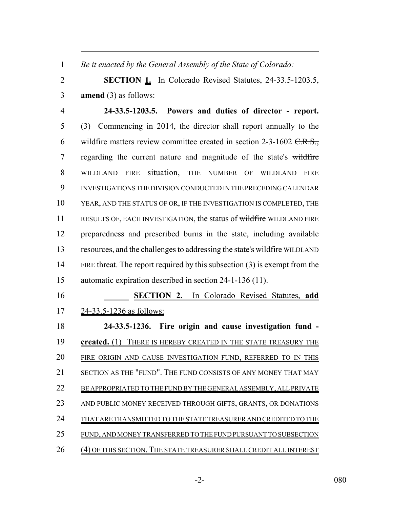*Be it enacted by the General Assembly of the State of Colorado:*

 **SECTION 1.** In Colorado Revised Statutes, 24-33.5-1203.5, **amend** (3) as follows:

 **24-33.5-1203.5. Powers and duties of director - report.** (3) Commencing in 2014, the director shall report annually to the 6 wildfire matters review committee created in section  $2-3-1602$  C.R.S., 7 regarding the current nature and magnitude of the state's wildfire WILDLAND FIRE situation, THE NUMBER OF WILDLAND FIRE INVESTIGATIONS THE DIVISION CONDUCTED IN THE PRECEDING CALENDAR YEAR, AND THE STATUS OF OR, IF THE INVESTIGATION IS COMPLETED, THE 11 RESULTS OF, EACH INVESTIGATION, the status of wildfire WILDLAND FIRE preparedness and prescribed burns in the state, including available 13 resources, and the challenges to addressing the state's wildfire WILDLAND FIRE threat. The report required by this subsection (3) is exempt from the automatic expiration described in section 24-1-136 (11).

 **SECTION 2.** In Colorado Revised Statutes, **add** 24-33.5-1236 as follows:

 **24-33.5-1236. Fire origin and cause investigation fund - created.** (1) THERE IS HEREBY CREATED IN THE STATE TREASURY THE FIRE ORIGIN AND CAUSE INVESTIGATION FUND, REFERRED TO IN THIS 21 SECTION AS THE "FUND". THE FUND CONSISTS OF ANY MONEY THAT MAY 22 BE APPROPRIATED TO THE FUND BY THE GENERAL ASSEMBLY, ALL PRIVATE AND PUBLIC MONEY RECEIVED THROUGH GIFTS, GRANTS, OR DONATIONS 24 THAT ARE TRANSMITTED TO THE STATE TREASURER AND CREDITED TO THE FUND, AND MONEY TRANSFERRED TO THE FUND PURSUANT TO SUBSECTION 26 (4) OF THIS SECTION. THE STATE TREASURER SHALL CREDIT ALL INTEREST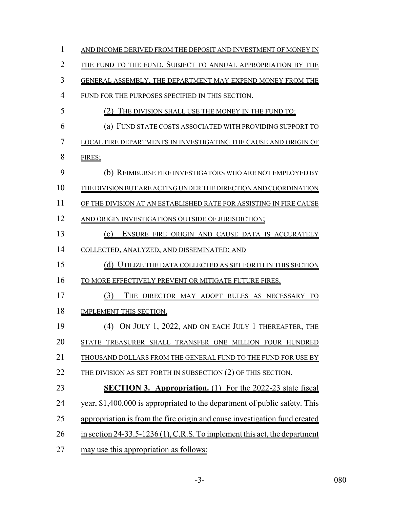| 1  | AND INCOME DERIVED FROM THE DEPOSIT AND INVESTMENT OF MONEY IN              |
|----|-----------------------------------------------------------------------------|
| 2  | THE FUND TO THE FUND. SUBJECT TO ANNUAL APPROPRIATION BY THE                |
| 3  | GENERAL ASSEMBLY, THE DEPARTMENT MAY EXPEND MONEY FROM THE                  |
| 4  | FUND FOR THE PURPOSES SPECIFIED IN THIS SECTION.                            |
| 5  | THE DIVISION SHALL USE THE MONEY IN THE FUND TO:                            |
| 6  | FUND STATE COSTS ASSOCIATED WITH PROVIDING SUPPORT TO<br>(a)                |
| 7  | LOCAL FIRE DEPARTMENTS IN INVESTIGATING THE CAUSE AND ORIGIN OF             |
| 8  | FIRES;                                                                      |
| 9  | (b) REIMBURSE FIRE INVESTIGATORS WHO ARE NOT EMPLOYED BY                    |
| 10 | THE DIVISION BUT ARE ACTING UNDER THE DIRECTION AND COORDINATION            |
| 11 | OF THE DIVISION AT AN ESTABLISHED RATE FOR ASSISTING IN FIRE CAUSE          |
| 12 | AND ORIGIN INVESTIGATIONS OUTSIDE OF JURISDICTION;                          |
| 13 | ENSURE FIRE ORIGIN AND CAUSE DATA IS ACCURATELY<br>(c)                      |
| 14 | COLLECTED, ANALYZED, AND DISSEMINATED; AND                                  |
| 15 | UTILIZE THE DATA COLLECTED AS SET FORTH IN THIS SECTION<br>(d)              |
| 16 | TO MORE EFFECTIVELY PREVENT OR MITIGATE FUTURE FIRES.                       |
| 17 | (3)<br>THE DIRECTOR MAY ADOPT RULES AS NECESSARY TO                         |
| 18 | IMPLEMENT THIS SECTION.                                                     |
| 19 | (4) On July 1, 2022, and on each July 1 thereafter, the                     |
| 20 | TREASURER SHALL TRANSFER ONE MILLION FOUR HUNDRED<br>STATE                  |
| 21 | THOUSAND DOLLARS FROM THE GENERAL FUND TO THE FUND FOR USE BY               |
| 22 | THE DIVISION AS SET FORTH IN SUBSECTION (2) OF THIS SECTION.                |
| 23 | <b>SECTION 3. Appropriation.</b> (1) For the 2022-23 state fiscal           |
| 24 | year, \$1,400,000 is appropriated to the department of public safety. This  |
| 25 | appropriation is from the fire origin and cause investigation fund created  |
| 26 | in section $24-33.5-1236(1)$ , C.R.S. To implement this act, the department |
| 27 | may use this appropriation as follows:                                      |